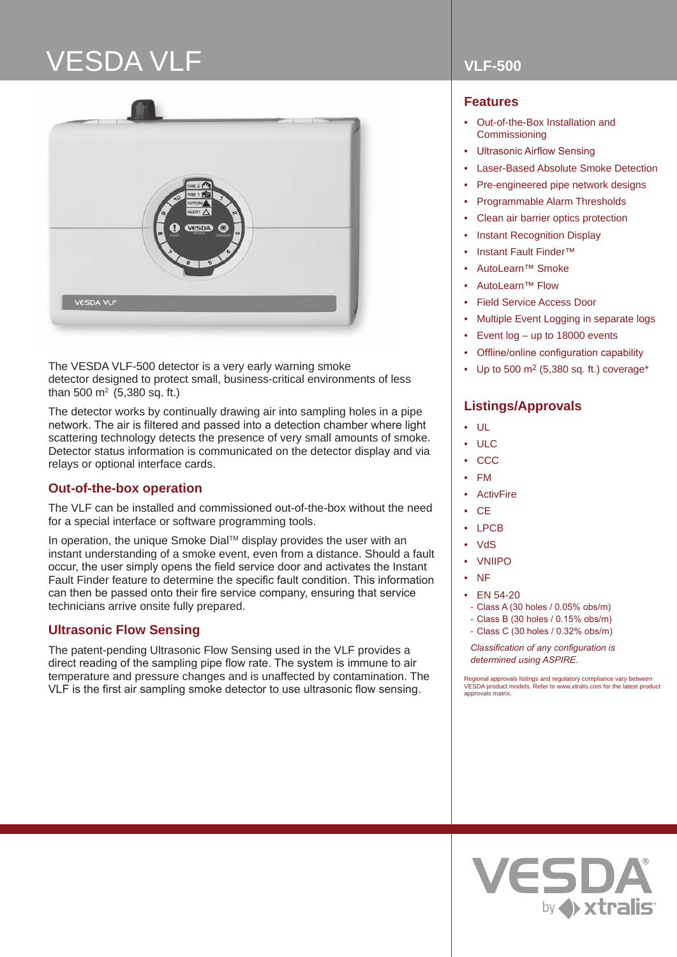# VESDA VLF **VLF-500**



The VESDA VLF-500 detector is a very early warning smoke detector designed to protect small, business-critical environments of less than 500  $m^2$  (5,380 sq. ft.)

The detector works by continually drawing air into sampling holes in a pipe network. The air is filtered and passed into a detection chamber where light scattering technology detects the presence of very small amounts of smoke. Detector status information is communicated on the detector display and via relays or optional interface cards.

## **Out-of-the-box operation**

The VLF can be installed and commissioned out-of-the-box without the need for a special interface or software programming tools.

In operation, the unique Smoke Dial™ display provides the user with an instant understanding of a smoke event, even from a distance. Should a fault occur, the user simply opens the field service door and activates the Instant Fault Finder feature to determine the specific fault condition. This information can then be passed onto their fire service company, ensuring that service technicians arrive onsite fully prepared.

## **Ultrasonic Flow Sensing**

The patent-pending Ultrasonic Flow Sensing used in the VLF provides a direct reading of the sampling pipe flow rate. The system is immune to air temperature and pressure changes and is unaffected by contamination. The VLF is the first air sampling smoke detector to use ultrasonic flow sensing.

## **Features**

- Out-of-the-Box Installation and **Commissioning**
- **Ultrasonic Airflow Sensing**
- Laser-Based Absolute Smoke Detection
- Pre-engineered pipe network designs
- Programmable Alarm Thresholds
- Clean air barrier optics protection
- Instant Recognition Display
- Instant Fault Finder™
- AutoLearn™ Smoke
- **AutoLearn™ Flow**
- Field Service Access Door
- Multiple Event Logging in separate logs
- Event  $log up$  to 18000 events
- Offline/online configuration capability
- Up to 500 m2 (5,380 sq. ft.) coverage\*

## **Listings/Approvals**

- UL
- ULC
- CCC
- FM
- **ActivFire**
- CE
- LPCB
- VdS
- VNIIPO
- NF
- EN 54-20
- Class A (30 holes / 0.05% obs/m)
- Class B (30 holes / 0.15% obs/m)
- Class C (30 holes / 0.32% obs/m)

*Classification of any configuration is determined using ASPIRE.*

Regional approvals listings and regulatory compliance vary between VESDA product models. Refer to www.xtralis.com for the latest product approvals matrix.